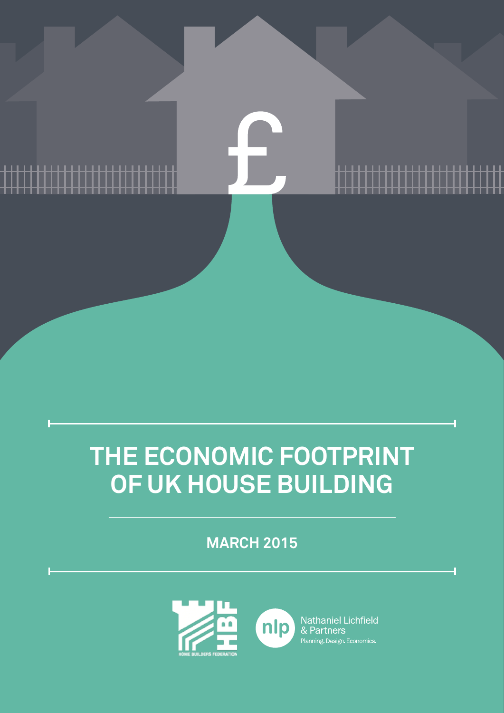## **THE ECONOMIC FOOTPRINT OF UK HOUSE BUILDING**

<u> 1111111111111111111111</u>

<u>........................</u>

**MARCH 2015**

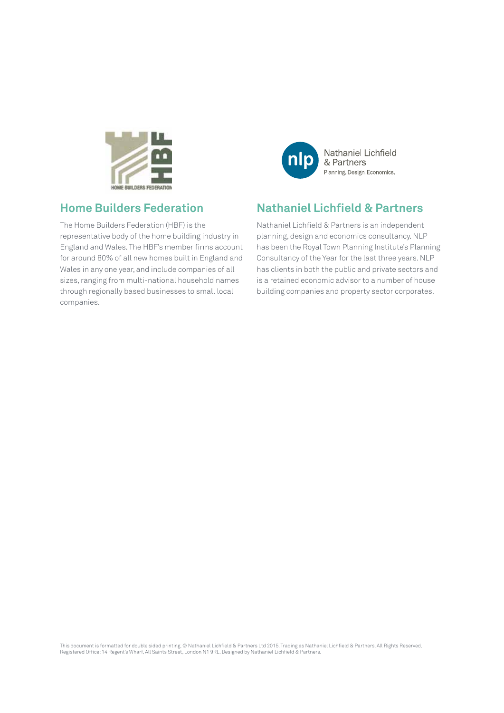

### Nathaniel Lichfield & Partners Planning. Design. Economics.

## **Home Builders Federation**

The Home Builders Federation (HBF) is the representative body of the home building industry in England and Wales. The HBF's member firms account for around 80% of all new homes built in England and Wales in any one year, and include companies of all sizes, ranging from multi-national household names through regionally based businesses to small local companies.

## **Nathaniel Lichfield & Partners**

Nathaniel Lichfield & Partners is an independent planning, design and economics consultancy. NLP has been the Royal Town Planning Institute's Planning Consultancy of the Year for the last three years. NLP has clients in both the public and private sectors and is a retained economic advisor to a number of house building companies and property sector corporates.

This document is formatted for double sided printing. © Nathaniel Lichfield & Partners Ltd 2015. Trading as Nathaniel Lichfield & Partners. All Rights Reserved. Registered Office: 14 Regent's Wharf, All Saints Street, London N1 9RL. Designed by Nathaniel Lichfield & Partners.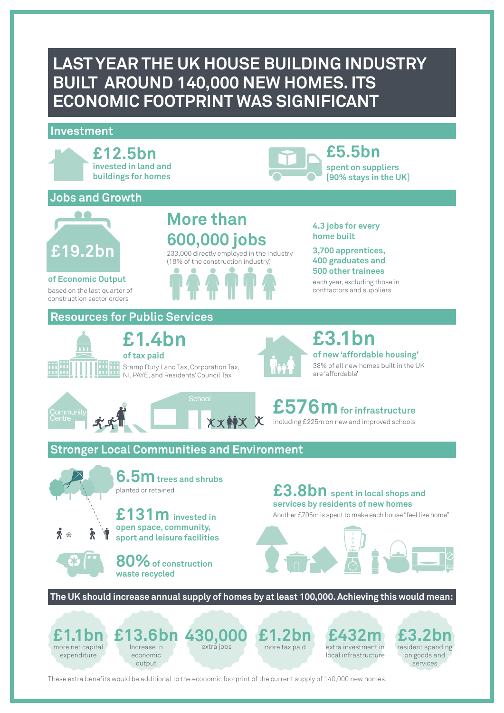## **LAST YEAR THE UK HOUSE BUILDING INDUSTRY BUILT AROUND 140,000 NEW HOMES. ITS ECONOMIC FOOTPRINT WAS SIGNIFICANT**

#### **Investment**



These extra benefits would be additional to the economic footprint of the current supply of 140,000 new homes.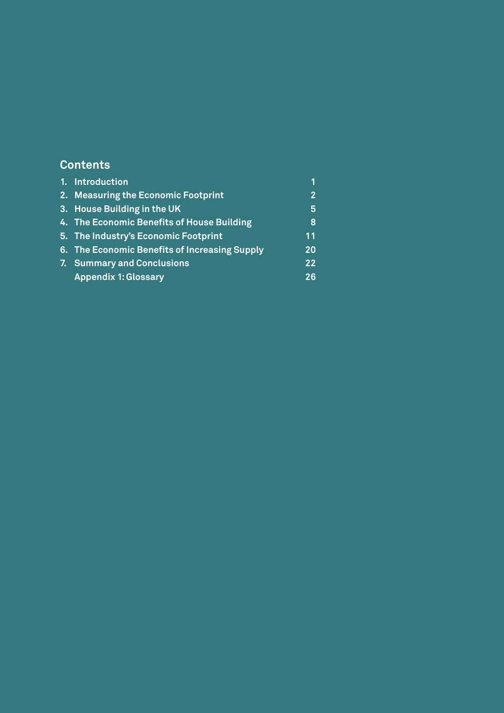## **Contents**

| 1. Introduction                               | 1                 |
|-----------------------------------------------|-------------------|
| 2. Measuring the Economic Footprint           | $\overline{2}$    |
| 3. House Building in the UK                   | 5                 |
| 4. The Economic Benefits of House Building    | 8                 |
| 5. The Industry's Economic Footprint          | 11                |
| 6. The Economic Benefits of Increasing Supply | <b>20</b>         |
| 7. Summary and Conclusions                    | $22 \overline{)}$ |
| <b>Appendix 1: Glossary</b>                   | 26                |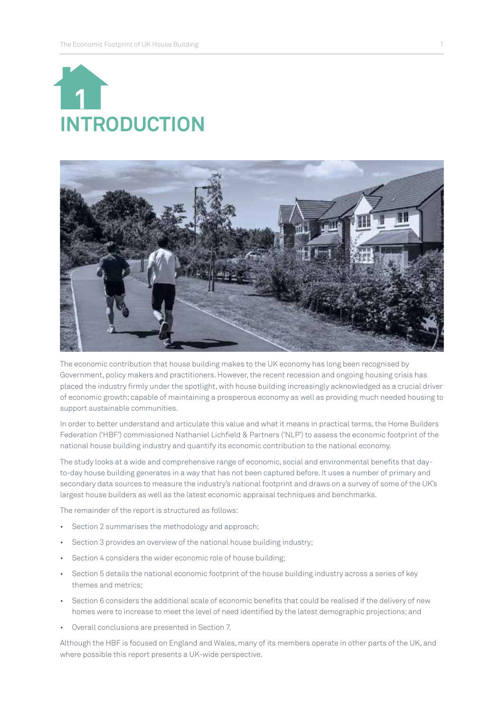



The economic contribution that house building makes to the UK economy has long been recognised by Government, policy makers and practitioners. However, the recent recession and ongoing housing crisis has placed the industry firmly under the spotlight, with house building increasingly acknowledged as a crucial driver of economic growth; capable of maintaining a prosperous economy as well as providing much needed housing to support sustainable communities.

In order to better understand and articulate this value and what it means in practical terms, the Home Builders Federation ('HBF') commissioned Nathaniel Lichfield & Partners ('NLP') to assess the economic footprint of the national house building industry and quantify its economic contribution to the national economy.

The study looks at a wide and comprehensive range of economic, social and environmental benefits that dayto-day house building generates in a way that has not been captured before. It uses a number of primary and secondary data sources to measure the industry's national footprint and draws on a survey of some of the UK's largest house builders as well as the latest economic appraisal techniques and benchmarks.

The remainder of the report is structured as follows:

- Section 2 summarises the methodology and approach;
- Section 3 provides an overview of the national house building industry;
- Section 4 considers the wider economic role of house building;
- Section 5 details the national economic footprint of the house building industry across a series of key themes and metrics;
- Section 6 considers the additional scale of economic benefits that could be realised if the delivery of new homes were to increase to meet the level of need identified by the latest demographic projections; and
- Overall conclusions are presented in Section 7.

Although the HBF is focused on England and Wales, many of its members operate in other parts of the UK, and where possible this report presents a UK-wide perspective.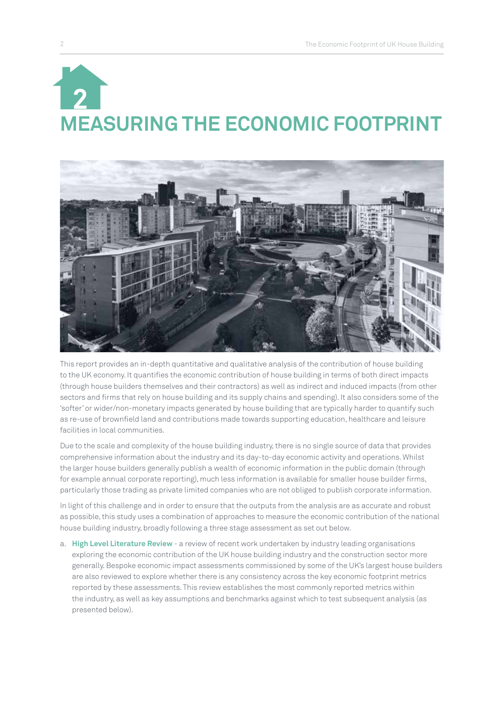# **MEASURING THE ECONOMIC FOOTPRINT 2**



This report provides an in-depth quantitative and qualitative analysis of the contribution of house building to the UK economy. It quantifies the economic contribution of house building in terms of both direct impacts (through house builders themselves and their contractors) as well as indirect and induced impacts (from other sectors and firms that rely on house building and its supply chains and spending). It also considers some of the 'softer' or wider/non-monetary impacts generated by house building that are typically harder to quantify such as re-use of brownfield land and contributions made towards supporting education, healthcare and leisure facilities in local communities.

Due to the scale and complexity of the house building industry, there is no single source of data that provides comprehensive information about the industry and its day-to-day economic activity and operations. Whilst the larger house builders generally publish a wealth of economic information in the public domain (through for example annual corporate reporting), much less information is available for smaller house builder firms, particularly those trading as private limited companies who are not obliged to publish corporate information.

In light of this challenge and in order to ensure that the outputs from the analysis are as accurate and robust as possible, this study uses a combination of approaches to measure the economic contribution of the national house building industry, broadly following a three stage assessment as set out below.

a. **High Level Literature Review** - a review of recent work undertaken by industry leading organisations exploring the economic contribution of the UK house building industry and the construction sector more generally. Bespoke economic impact assessments commissioned by some of the UK's largest house builders are also reviewed to explore whether there is any consistency across the key economic footprint metrics reported by these assessments. This review establishes the most commonly reported metrics within the industry, as well as key assumptions and benchmarks against which to test subsequent analysis (as presented below).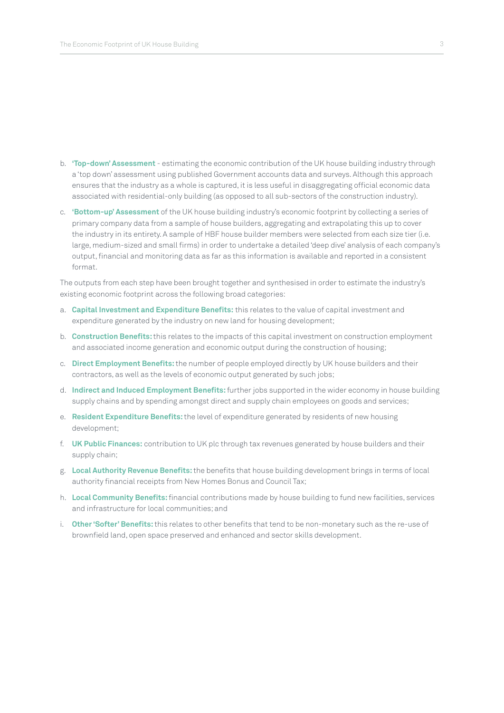- b. **'Top-down' Assessment**  estimating the economic contribution of the UK house building industry through a 'top down' assessment using published Government accounts data and surveys. Although this approach ensures that the industry as a whole is captured, it is less useful in disaggregating official economic data associated with residential-only building (as opposed to all sub-sectors of the construction industry).
- c. **'Bottom-up' Assessment** of the UK house building industry's economic footprint by collecting a series of primary company data from a sample of house builders, aggregating and extrapolating this up to cover the industry in its entirety. A sample of HBF house builder members were selected from each size tier (i.e. large, medium-sized and small firms) in order to undertake a detailed 'deep dive' analysis of each company's output, financial and monitoring data as far as this information is available and reported in a consistent format.

The outputs from each step have been brought together and synthesised in order to estimate the industry's existing economic footprint across the following broad categories:

- a. **Capital Investment and Expenditure Benefits:** this relates to the value of capital investment and expenditure generated by the industry on new land for housing development;
- b. **Construction Benefits:** this relates to the impacts of this capital investment on construction employment and associated income generation and economic output during the construction of housing;
- c. **Direct Employment Benefits:** the number of people employed directly by UK house builders and their contractors, as well as the levels of economic output generated by such jobs;
- d. **Indirect and Induced Employment Benefits:** further jobs supported in the wider economy in house building supply chains and by spending amongst direct and supply chain employees on goods and services;
- e. **Resident Expenditure Benefits:** the level of expenditure generated by residents of new housing development;
- f. **UK Public Finances:** contribution to UK plc through tax revenues generated by house builders and their supply chain;
- g. **Local Authority Revenue Benefits:** the benefits that house building development brings in terms of local authority financial receipts from New Homes Bonus and Council Tax;
- h. **Local Community Benefits:** financial contributions made by house building to fund new facilities, services and infrastructure for local communities; and
- i. **Other 'Softer' Benefits:** this relates to other benefits that tend to be non-monetary such as the re-use of brownfield land, open space preserved and enhanced and sector skills development.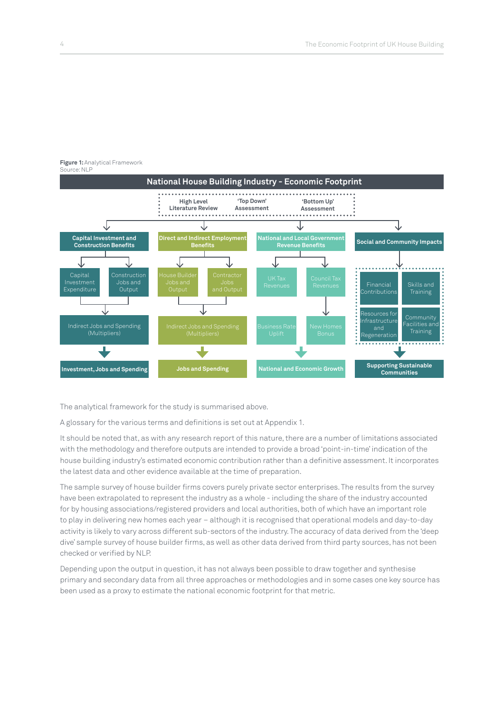**Supporting Sustainable** 



**Figure 1:** Analytical Framework Source: NLP

The analytical framework for the study is summarised above.

A glossary for the various terms and definitions is set out at Appendix 1.

**Investment, Jobs and Spending Jobs and Spending National and Economic Growth** 

It should be noted that, as with any research report of this nature, there are a number of limitations associated with the methodology and therefore outputs are intended to provide a broad 'point-in-time' indication of the house building industry's estimated economic contribution rather than a definitive assessment. It incorporates the latest data and other evidence available at the time of preparation.

The sample survey of house builder firms covers purely private sector enterprises. The results from the survey have been extrapolated to represent the industry as a whole - including the share of the industry accounted for by housing associations/registered providers and local authorities, both of which have an important role to play in delivering new homes each year – although it is recognised that operational models and day-to-day activity is likely to vary across different sub-sectors of the industry. The accuracy of data derived from the 'deep dive' sample survey of house builder firms, as well as other data derived from third party sources, has not been checked or verified by NLP.

Depending upon the output in question, it has not always been possible to draw together and synthesise primary and secondary data from all three approaches or methodologies and in some cases one key source has been used as a proxy to estimate the national economic footprint for that metric.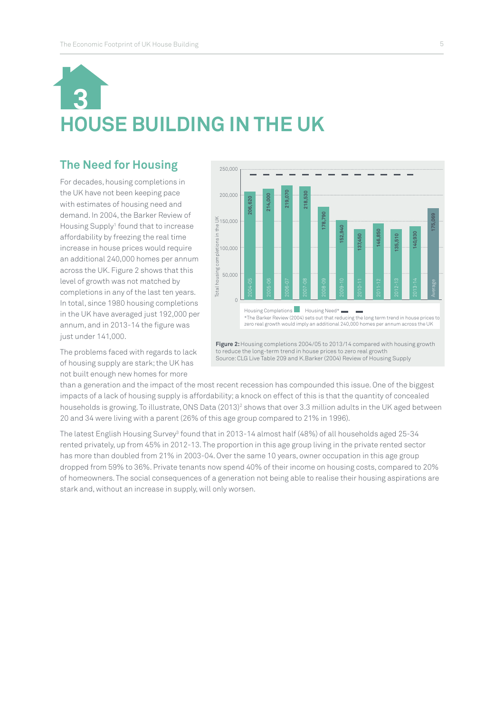## **HOUSE BUILDING IN THE UK 3**

## **The Need for Housing**

For decades, housing completions in the UK have not been keeping pace with estimates of housing need and demand. In 2004, the Barker Review of Housing Supply<sup>1</sup> found that to increase affordability by freezing the real time increase in house prices would require an additional 240,000 homes per annum across the UK. Figure 2 shows that this level of growth was not matched by completions in any of the last ten years. In total, since 1980 housing completions in the UK have averaged just 192,000 per annum, and in 2013-14 the figure was just under 141,000.



The problems faced with regards to lack of housing supply are stark; the UK has not built enough new homes for more

to reduce the long-term trend in house prices to zero real growth<br>Source: CLG Live Table 209 and K.Barker (2004) Review of Housing Supply

than a generation and the impact of the most recent recession has compounded this issue. One of the biggest impacts of a lack of housing supply is affordability; a knock on effect of this is that the quantity of concealed households is growing. To illustrate, ONS Data (2013)<sup>2</sup> shows that over 3.3 million adults in the UK aged between 20 and 34 were living with a parent (26% of this age group compared to 21% in 1996).

The latest English Housing Survey<sup>3</sup> found that in 2013-14 almost half (48%) of all households aged 25-34 rented privately, up from 45% in 2012-13. The proportion in this age group living in the private rented sector has more than doubled from 21% in 2003-04. Over the same 10 years, owner occupation in this age group dropped from 59% to 36%. Private tenants now spend 40% of their income on housing costs, compared to 20% of homeowners. The social consequences of a generation not being able to realise their housing aspirations are stark and, without an increase in supply, will only worsen.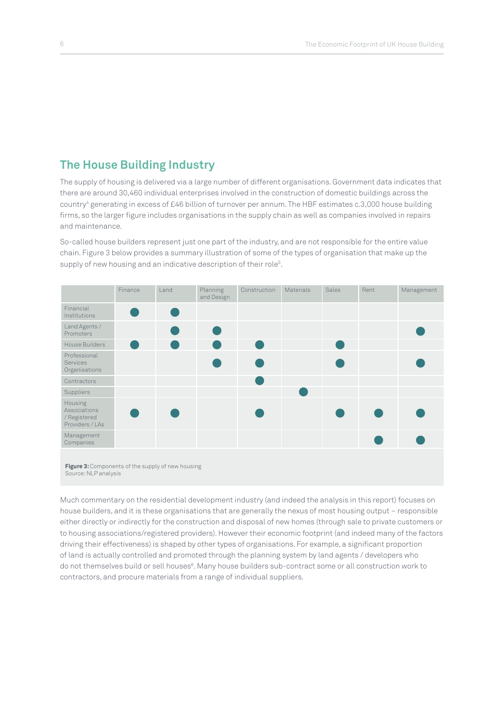## **The House Building Industry**

The supply of housing is delivered via a large number of different organisations. Government data indicates that there are around 30,460 individual enterprises involved in the construction of domestic buildings across the country4 generating in excess of £46 billion of turnover per annum. The HBF estimates c.3,000 house building firms, so the larger figure includes organisations in the supply chain as well as companies involved in repairs and maintenance.

So-called house builders represent just one part of the industry, and are not responsible for the entire value chain. Figure 3 below provides a summary illustration of some of the types of organisation that make up the supply of new housing and an indicative description of their role<sup>5</sup>.



Much commentary on the residential development industry (and indeed the analysis in this report) focuses on house builders, and it is these organisations that are generally the nexus of most housing output – responsible either directly or indirectly for the construction and disposal of new homes (through sale to private customers or to housing associations/registered providers). However their economic footprint (and indeed many of the factors driving their effectiveness) is shaped by other types of organisations. For example, a significant proportion of land is actually controlled and promoted through the planning system by land agents / developers who do not themselves build or sell houses<sup>6</sup>. Many house builders sub-contract some or all construction work to contractors, and procure materials from a range of individual suppliers.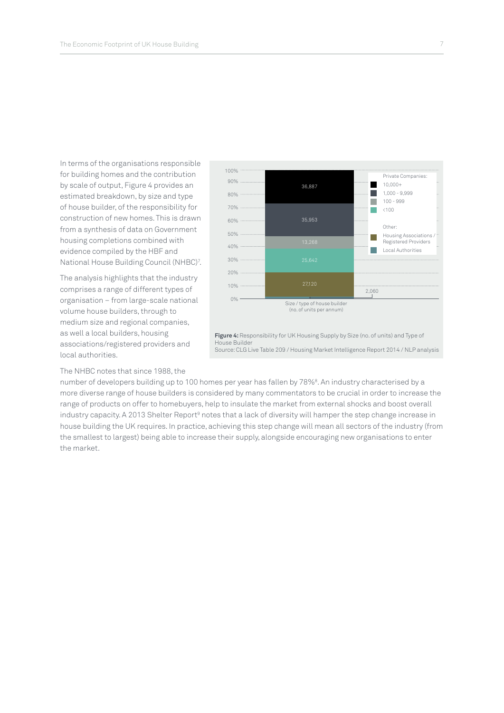In terms of the organisations responsible for building homes and the contribution by scale of output, Figure 4 provides an estimated breakdown, by size and type of house builder, of the responsibility for construction of new homes. This is drawn from a synthesis of data on Government housing completions combined with evidence compiled by the HBF and National House Building Council (NHBC)7 .

The analysis highlights that the industry comprises a range of different types of organisation – from large-scale national volume house builders, through to medium size and regional companies, as well a local builders, housing associations/registered providers and local authorities.

The NHBC notes that since 1988, the



**Figure 4:** Responsibility for UK Housing Supply by Size (no. of units) and Type of House Builder Source: CLG Live Table 209 / Housing Market Intelligence Report 2014 / NLP analysis

number of developers building up to 100 homes per year has fallen by 78%<sup>8</sup>. An industry characterised by a more diverse range of house builders is considered by many commentators to be crucial in order to increase the range of products on offer to homebuyers, help to insulate the market from external shocks and boost overall industry capacity. A 2013 Shelter Report<sup>9</sup> notes that a lack of diversity will hamper the step change increase in house building the UK requires. In practice, achieving this step change will mean all sectors of the industry (from the smallest to largest) being able to increase their supply, alongside encouraging new organisations to enter the market.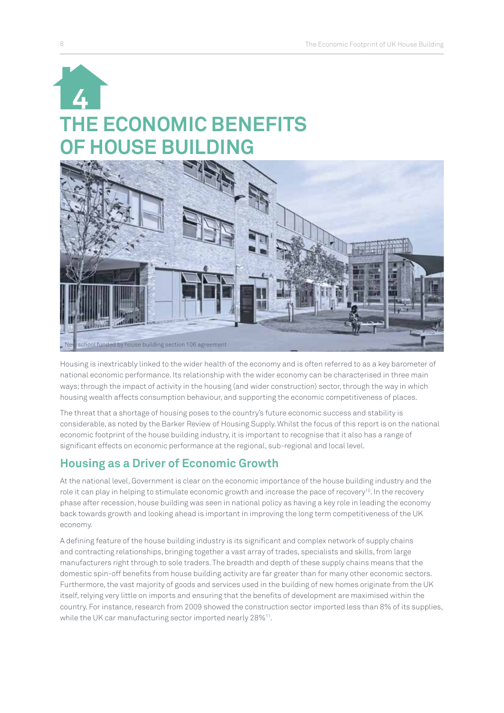



Housing is inextricably linked to the wider health of the economy and is often referred to as a key barometer of national economic performance. Its relationship with the wider economy can be characterised in three main ways; through the impact of activity in the housing (and wider construction) sector, through the way in which housing wealth affects consumption behaviour, and supporting the economic competitiveness of places.

The threat that a shortage of housing poses to the country's future economic success and stability is considerable, as noted by the Barker Review of Housing Supply. Whilst the focus of this report is on the national economic footprint of the house building industry, it is important to recognise that it also has a range of significant effects on economic performance at the regional, sub-regional and local level.

## **Housing as a Driver of Economic Growth**

At the national level, Government is clear on the economic importance of the house building industry and the role it can play in helping to stimulate economic growth and increase the pace of recovery<sup>10</sup>. In the recovery phase after recession, house building was seen in national policy as having a key role in leading the economy back towards growth and looking ahead is important in improving the long term competitiveness of the UK economy.

A defining feature of the house building industry is its significant and complex network of supply chains and contracting relationships, bringing together a vast array of trades, specialists and skills, from large manufacturers right through to sole traders. The breadth and depth of these supply chains means that the domestic spin-off benefits from house building activity are far greater than for many other economic sectors. Furthermore, the vast majority of goods and services used in the building of new homes originate from the UK itself, relying very little on imports and ensuring that the benefits of development are maximised within the country. For instance, research from 2009 showed the construction sector imported less than 8% of its supplies, while the UK car manufacturing sector imported nearly 28%<sup>11</sup>.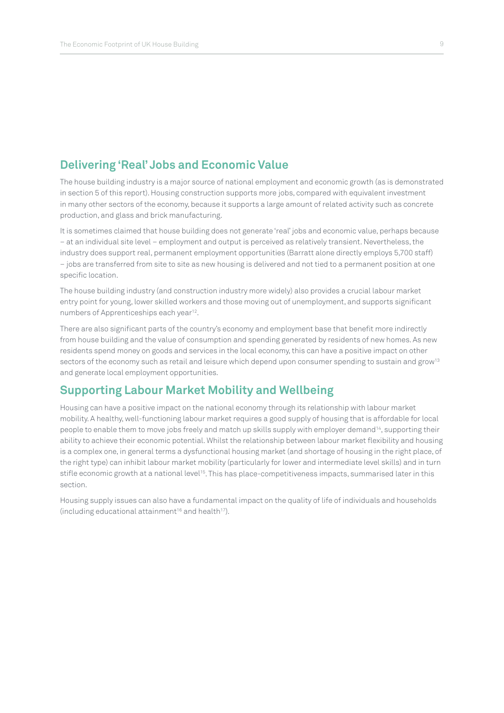## **Delivering 'Real' Jobs and Economic Value**

The house building industry is a major source of national employment and economic growth (as is demonstrated in section 5 of this report). Housing construction supports more jobs, compared with equivalent investment in many other sectors of the economy, because it supports a large amount of related activity such as concrete production, and glass and brick manufacturing.

It is sometimes claimed that house building does not generate 'real' jobs and economic value, perhaps because – at an individual site level – employment and output is perceived as relatively transient. Nevertheless, the industry does support real, permanent employment opportunities (Barratt alone directly employs 5,700 staff) – jobs are transferred from site to site as new housing is delivered and not tied to a permanent position at one specific location.

The house building industry (and construction industry more widely) also provides a crucial labour market entry point for young, lower skilled workers and those moving out of unemployment, and supports significant numbers of Apprenticeships each year<sup>12</sup>.

There are also significant parts of the country's economy and employment base that benefit more indirectly from house building and the value of consumption and spending generated by residents of new homes. As new residents spend money on goods and services in the local economy, this can have a positive impact on other sectors of the economy such as retail and leisure which depend upon consumer spending to sustain and grow<sup>13</sup> and generate local employment opportunities.

## **Supporting Labour Market Mobility and Wellbeing**

Housing can have a positive impact on the national economy through its relationship with labour market mobility. A healthy, well-functioning labour market requires a good supply of housing that is affordable for local people to enable them to move jobs freely and match up skills supply with employer demand<sup>14</sup>, supporting their ability to achieve their economic potential. Whilst the relationship between labour market flexibility and housing is a complex one, in general terms a dysfunctional housing market (and shortage of housing in the right place, of the right type) can inhibit labour market mobility (particularly for lower and intermediate level skills) and in turn stifle economic growth at a national level<sup>15</sup>. This has place-competitiveness impacts, summarised later in this section.

Housing supply issues can also have a fundamental impact on the quality of life of individuals and households (including educational attainment<sup>16</sup> and health<sup>17</sup>).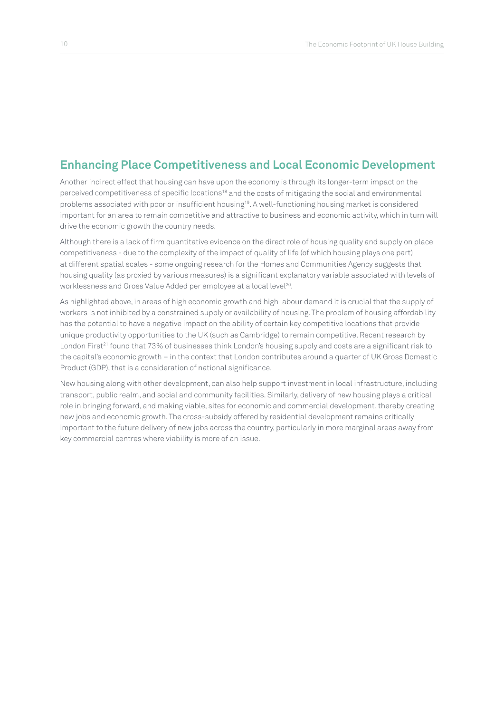## **Enhancing Place Competitiveness and Local Economic Development**

Another indirect effect that housing can have upon the economy is through its longer-term impact on the perceived competitiveness of specific locations<sup>18</sup> and the costs of mitigating the social and environmental problems associated with poor or insufficient housing<sup>19</sup>. A well-functioning housing market is considered important for an area to remain competitive and attractive to business and economic activity, which in turn will drive the economic growth the country needs.

Although there is a lack of firm quantitative evidence on the direct role of housing quality and supply on place competitiveness - due to the complexity of the impact of quality of life (of which housing plays one part) at different spatial scales - some ongoing research for the Homes and Communities Agency suggests that housing quality (as proxied by various measures) is a significant explanatory variable associated with levels of worklessness and Gross Value Added per employee at a local level<sup>20</sup>.

As highlighted above, in areas of high economic growth and high labour demand it is crucial that the supply of workers is not inhibited by a constrained supply or availability of housing. The problem of housing affordability has the potential to have a negative impact on the ability of certain key competitive locations that provide unique productivity opportunities to the UK (such as Cambridge) to remain competitive. Recent research by London First<sup>21</sup> found that 73% of businesses think London's housing supply and costs are a significant risk to the capital's economic growth – in the context that London contributes around a quarter of UK Gross Domestic Product (GDP), that is a consideration of national significance.

New housing along with other development, can also help support investment in local infrastructure, including transport, public realm, and social and community facilities. Similarly, delivery of new housing plays a critical role in bringing forward, and making viable, sites for economic and commercial development, thereby creating new jobs and economic growth. The cross-subsidy offered by residential development remains critically important to the future delivery of new jobs across the country, particularly in more marginal areas away from key commercial centres where viability is more of an issue.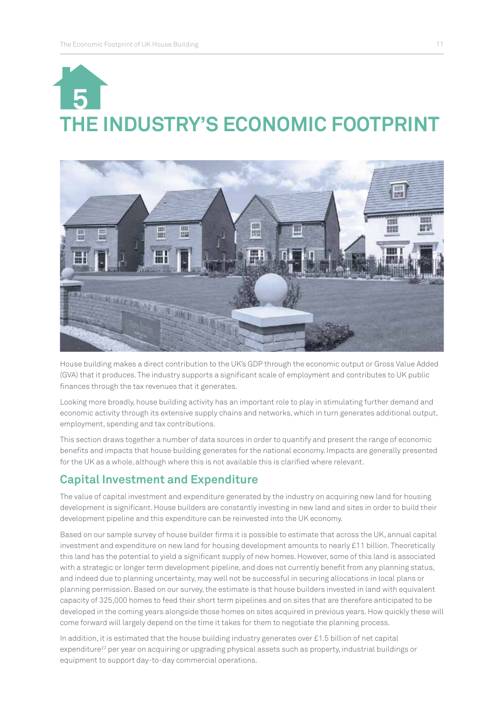## **THE INDUSTRY'S ECONOMIC FOOTPRINT 5**



House building makes a direct contribution to the UK's GDP through the economic output or Gross Value Added (GVA) that it produces. The industry supports a significant scale of employment and contributes to UK public finances through the tax revenues that it generates.

Looking more broadly, house building activity has an important role to play in stimulating further demand and economic activity through its extensive supply chains and networks, which in turn generates additional output, employment, spending and tax contributions.

This section draws together a number of data sources in order to quantify and present the range of economic benefits and impacts that house building generates for the national economy. Impacts are generally presented for the UK as a whole, although where this is not available this is clarified where relevant.

## **Capital Investment and Expenditure**

The value of capital investment and expenditure generated by the industry on acquiring new land for housing development is significant. House builders are constantly investing in new land and sites in order to build their development pipeline and this expenditure can be reinvested into the UK economy.

Based on our sample survey of house builder firms it is possible to estimate that across the UK, annual capital investment and expenditure on new land for housing development amounts to nearly £11 billion. Theoretically this land has the potential to yield a significant supply of new homes. However, some of this land is associated with a strategic or longer term development pipeline, and does not currently benefit from any planning status, and indeed due to planning uncertainty, may well not be successful in securing allocations in local plans or planning permission. Based on our survey, the estimate is that house builders invested in land with equivalent capacity of 325,000 homes to feed their short term pipelines and on sites that are therefore anticipated to be developed in the coming years alongside those homes on sites acquired in previous years. How quickly these will come forward will largely depend on the time it takes for them to negotiate the planning process.

In addition, it is estimated that the house building industry generates over £1.5 billion of net capital expenditure<sup>22</sup> per year on acquiring or upgrading physical assets such as property, industrial buildings or equipment to support day-to-day commercial operations.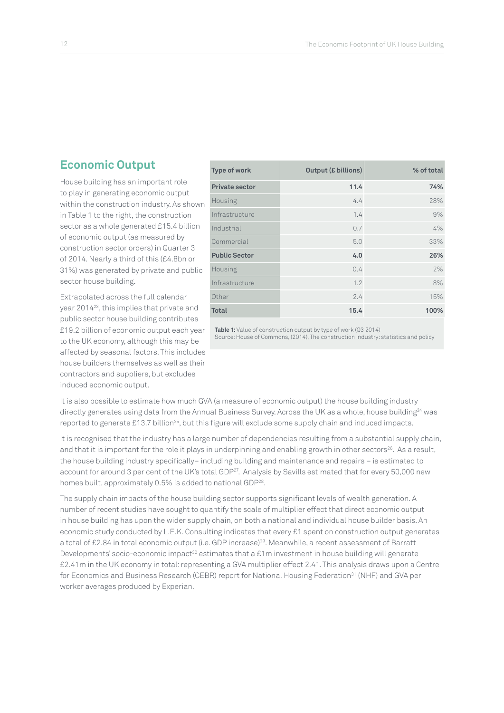## **Economic Output**

House building has an important role to play in generating economic output within the construction industry. As shown in Table 1 to the right, the construction sector as a whole generated £15.4 billion of economic output (as measured by construction sector orders) in Quarter 3 of 2014. Nearly a third of this (£4.8bn or 31%) was generated by private and public sector house building.

Extrapolated across the full calendar year 201423, this implies that private and public sector house building contributes £19.2 billion of economic output each year to the UK economy, although this may be affected by seasonal factors. This includes house builders themselves as well as their contractors and suppliers, but excludes induced economic output.

| <b>Type of work</b>   | <b>Output (£ billions)</b> | % of total |
|-----------------------|----------------------------|------------|
| <b>Private sector</b> | 11.4                       | 74%        |
| Housing               | 4.4                        | 28%        |
| Infrastructure        | 1.4                        | 9%         |
| Industrial            | 0.7                        | 4%         |
| Commercial            | 5.0                        | 33%        |
| <b>Public Sector</b>  | 4.0                        | 26%        |
| Housing               | 0.4                        | 2%         |
| Infrastructure        | 1.2                        | 8%         |
| Other                 | 2.4                        | 15%        |
| <b>Total</b>          | 15.4                       | 100%       |

**Table 1:** Value of construction output by type of work (Q3 2014) Source: House of Commons, (2014), The construction industry: statistics and policy

It is also possible to estimate how much GVA (a measure of economic output) the house building industry directly generates using data from the Annual Business Survey. Across the UK as a whole, house building<sup>24</sup> was reported to generate £13.7 billion<sup>25</sup>, but this figure will exclude some supply chain and induced impacts.

It is recognised that the industry has a large number of dependencies resulting from a substantial supply chain, and that it is important for the role it plays in underpinning and enabling growth in other sectors<sup>26</sup>. As a result, the house building industry specifically– including building and maintenance and repairs – is estimated to account for around 3 per cent of the UK's total GDP<sup>27</sup>. Analysis by Savills estimated that for every 50,000 new homes built, approximately 0.5% is added to national GDP<sup>28</sup>.

The supply chain impacts of the house building sector supports significant levels of wealth generation. A number of recent studies have sought to quantify the scale of multiplier effect that direct economic output in house building has upon the wider supply chain, on both a national and individual house builder basis. An economic study conducted by L.E.K. Consulting indicates that every £1 spent on construction output generates a total of £2.84 in total economic output (i.e. GDP increase)29. Meanwhile, a recent assessment of Barratt Developments' socio-economic impact<sup>30</sup> estimates that a £1m investment in house building will generate £2.41m in the UK economy in total: representing a GVA multiplier effect 2.41. This analysis draws upon a Centre for Economics and Business Research (CEBR) report for National Housing Federation<sup>31</sup> (NHF) and GVA per worker averages produced by Experian.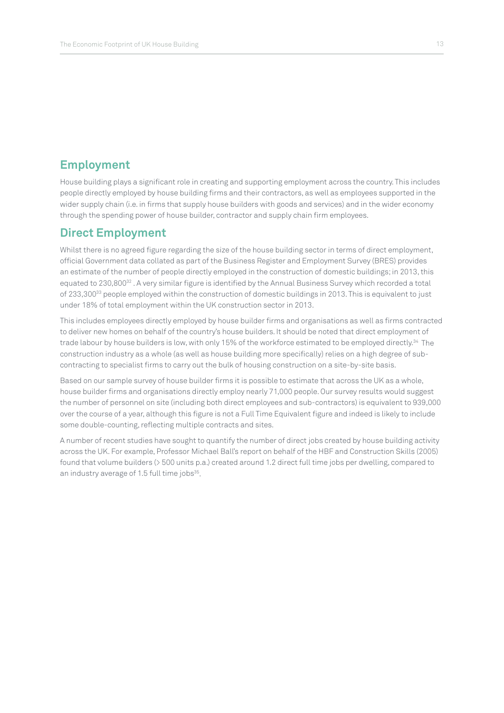### **Employment**

House building plays a significant role in creating and supporting employment across the country. This includes people directly employed by house building firms and their contractors, as well as employees supported in the wider supply chain (i.e. in firms that supply house builders with goods and services) and in the wider economy through the spending power of house builder, contractor and supply chain firm employees.

#### **Direct Employment**

Whilst there is no agreed figure regarding the size of the house building sector in terms of direct employment, official Government data collated as part of the Business Register and Employment Survey (BRES) provides an estimate of the number of people directly employed in the construction of domestic buildings; in 2013, this equated to 230,800<sup>32</sup>. A very similar figure is identified by the Annual Business Survey which recorded a total of 233,300<sup>33</sup> people employed within the construction of domestic buildings in 2013. This is equivalent to just under 18% of total employment within the UK construction sector in 2013.

This includes employees directly employed by house builder firms and organisations as well as firms contracted to deliver new homes on behalf of the country's house builders. It should be noted that direct employment of trade labour by house builders is low, with only 15% of the workforce estimated to be employed directly.34 The construction industry as a whole (as well as house building more specifically) relies on a high degree of subcontracting to specialist firms to carry out the bulk of housing construction on a site-by-site basis.

Based on our sample survey of house builder firms it is possible to estimate that across the UK as a whole, house builder firms and organisations directly employ nearly 71,000 people. Our survey results would suggest the number of personnel on site (including both direct employees and sub-contractors) is equivalent to 939,000 over the course of a year, although this figure is not a Full Time Equivalent figure and indeed is likely to include some double-counting, reflecting multiple contracts and sites.

A number of recent studies have sought to quantify the number of direct jobs created by house building activity across the UK. For example, Professor Michael Ball's report on behalf of the HBF and Construction Skills (2005) found that volume builders (> 500 units p.a.) created around 1.2 direct full time jobs per dwelling, compared to an industry average of 1.5 full time jobs<sup>35</sup>.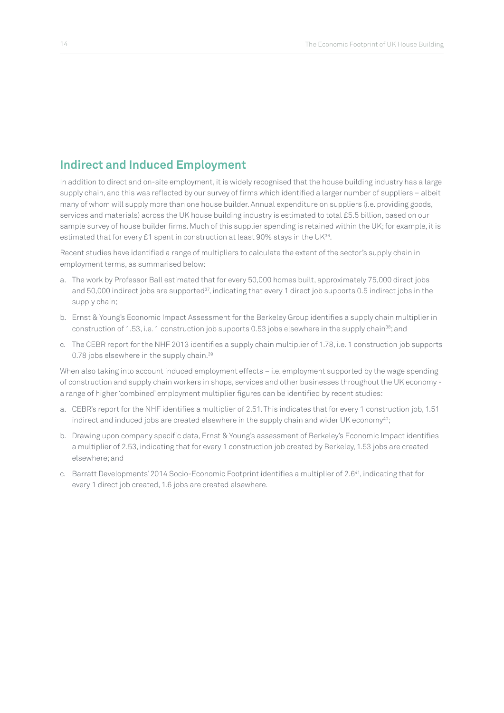## **Indirect and Induced Employment**

In addition to direct and on-site employment, it is widely recognised that the house building industry has a large supply chain, and this was reflected by our survey of firms which identified a larger number of suppliers – albeit many of whom will supply more than one house builder. Annual expenditure on suppliers (i.e. providing goods, services and materials) across the UK house building industry is estimated to total £5.5 billion, based on our sample survey of house builder firms. Much of this supplier spending is retained within the UK; for example, it is estimated that for every £1 spent in construction at least 90% stays in the UK<sup>36</sup>.

Recent studies have identified a range of multipliers to calculate the extent of the sector's supply chain in employment terms, as summarised below:

- a. The work by Professor Ball estimated that for every 50,000 homes built, approximately 75,000 direct jobs and 50,000 indirect jobs are supported<sup>37</sup>, indicating that every 1 direct job supports 0.5 indirect jobs in the supply chain;
- b. Ernst & Young's Economic Impact Assessment for the Berkeley Group identifies a supply chain multiplier in construction of 1.53, i.e. 1 construction job supports 0.53 jobs elsewhere in the supply chain<sup>38</sup>; and
- c. The CEBR report for the NHF 2013 identifies a supply chain multiplier of 1.78, i.e. 1 construction job supports 0.78 jobs elsewhere in the supply chain.<sup>39</sup>

When also taking into account induced employment effects – i.e. employment supported by the wage spending of construction and supply chain workers in shops, services and other businesses throughout the UK economy a range of higher 'combined' employment multiplier figures can be identified by recent studies:

- a. CEBR's report for the NHF identifies a multiplier of 2.51. This indicates that for every 1 construction job, 1.51 indirect and induced jobs are created elsewhere in the supply chain and wider UK economy<sup>40</sup>;
- b. Drawing upon company specific data, Ernst & Young's assessment of Berkeley's Economic Impact identifies a multiplier of 2.53, indicating that for every 1 construction job created by Berkeley, 1.53 jobs are created elsewhere; and
- c. Barratt Developments' 2014 Socio-Economic Footprint identifies a multiplier of 2.641, indicating that for every 1 direct job created, 1.6 jobs are created elsewhere.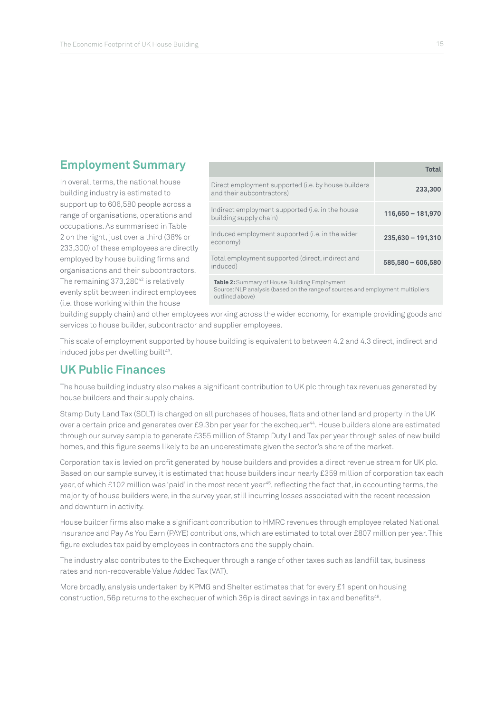## **Employment Summary**

In overall terms, the national house building industry is estimated to support up to 606,580 people across a range of organisations, operations and occupations. As summarised in Table 2 on the right, just over a third (38% or 233,300) of these employees are directly employed by house building firms and organisations and their subcontractors. The remaining 373,280<sup>42</sup> is relatively evenly split between indirect employees (i.e. those working within the house

|                                                                                  | Total               |
|----------------------------------------------------------------------------------|---------------------|
| Direct employment supported (i.e. by house builders<br>and their subcontractors) | 233,300             |
| Indirect employment supported (i.e. in the house<br>building supply chain)       | $116,650 - 181,970$ |
| Induced employment supported (i.e. in the wider<br>economy)                      | $235,630 - 191,310$ |
| Total employment supported (direct, indirect and<br>induced)                     | $585,580 - 606,580$ |
|                                                                                  |                     |

**Table 2:** Summary of House Building Employment

Source: NLP analysis (based on the range of sources and employment multipliers outlined above)

building supply chain) and other employees working across the wider economy, for example providing goods and services to house builder, subcontractor and supplier employees.

This scale of employment supported by house building is equivalent to between 4.2 and 4.3 direct, indirect and induced jobs per dwelling built<sup>43</sup>.

### **UK Public Finances**

The house building industry also makes a significant contribution to UK plc through tax revenues generated by house builders and their supply chains.

Stamp Duty Land Tax (SDLT) is charged on all purchases of houses, flats and other land and property in the UK over a certain price and generates over £9.3bn per year for the exchequer<sup>44</sup>. House builders alone are estimated through our survey sample to generate £355 million of Stamp Duty Land Tax per year through sales of new build homes, and this figure seems likely to be an underestimate given the sector's share of the market.

Corporation tax is levied on profit generated by house builders and provides a direct revenue stream for UK plc. Based on our sample survey, it is estimated that house builders incur nearly £359 million of corporation tax each year, of which £102 million was 'paid' in the most recent year<sup>45</sup>, reflecting the fact that, in accounting terms, the majority of house builders were, in the survey year, still incurring losses associated with the recent recession and downturn in activity.

House builder firms also make a significant contribution to HMRC revenues through employee related National Insurance and Pay As You Earn (PAYE) contributions, which are estimated to total over £807 million per year. This figure excludes tax paid by employees in contractors and the supply chain.

The industry also contributes to the Exchequer through a range of other taxes such as landfill tax, business rates and non-recoverable Value Added Tax (VAT).

More broadly, analysis undertaken by KPMG and Shelter estimates that for every £1 spent on housing construction, 56p returns to the exchequer of which 36p is direct savings in tax and benefits<sup>46</sup>.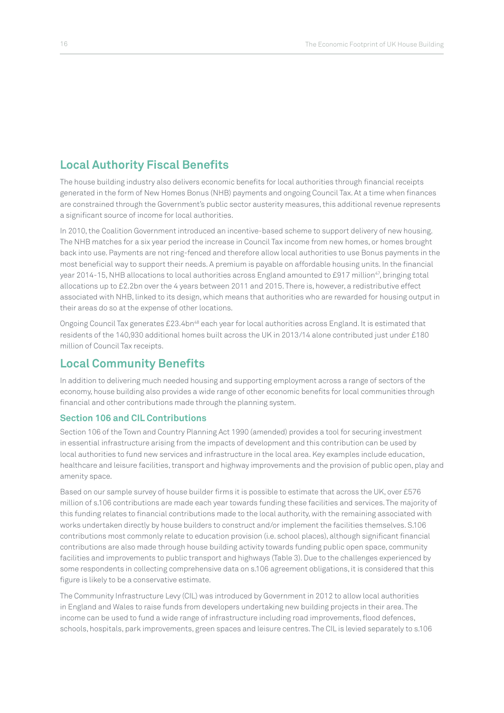## **Local Authority Fiscal Benefits**

The house building industry also delivers economic benefits for local authorities through financial receipts generated in the form of New Homes Bonus (NHB) payments and ongoing Council Tax. At a time when finances are constrained through the Government's public sector austerity measures, this additional revenue represents a significant source of income for local authorities.

In 2010, the Coalition Government introduced an incentive-based scheme to support delivery of new housing. The NHB matches for a six year period the increase in Council Tax income from new homes, or homes brought back into use. Payments are not ring-fenced and therefore allow local authorities to use Bonus payments in the most beneficial way to support their needs. A premium is payable on affordable housing units. In the financial year 2014-15, NHB allocations to local authorities across England amounted to £917 million<sup>47</sup>, bringing total allocations up to £2.2bn over the 4 years between 2011 and 2015. There is, however, a redistributive effect associated with NHB, linked to its design, which means that authorities who are rewarded for housing output in their areas do so at the expense of other locations.

Ongoing Council Tax generates £23.4bn<sup>48</sup> each year for local authorities across England. It is estimated that residents of the 140,930 additional homes built across the UK in 2013/14 alone contributed just under £180 million of Council Tax receipts.

## **Local Community Benefits**

In addition to delivering much needed housing and supporting employment across a range of sectors of the economy, house building also provides a wide range of other economic benefits for local communities through financial and other contributions made through the planning system.

#### **Section 106 and CIL Contributions**

Section 106 of the Town and Country Planning Act 1990 (amended) provides a tool for securing investment in essential infrastructure arising from the impacts of development and this contribution can be used by local authorities to fund new services and infrastructure in the local area. Key examples include education, healthcare and leisure facilities, transport and highway improvements and the provision of public open, play and amenity space.

Based on our sample survey of house builder firms it is possible to estimate that across the UK, over £576 million of s.106 contributions are made each year towards funding these facilities and services. The majority of this funding relates to financial contributions made to the local authority, with the remaining associated with works undertaken directly by house builders to construct and/or implement the facilities themselves. S.106 contributions most commonly relate to education provision (i.e. school places), although significant financial contributions are also made through house building activity towards funding public open space, community facilities and improvements to public transport and highways (Table 3). Due to the challenges experienced by some respondents in collecting comprehensive data on s.106 agreement obligations, it is considered that this figure is likely to be a conservative estimate.

The Community Infrastructure Levy (CIL) was introduced by Government in 2012 to allow local authorities in England and Wales to raise funds from developers undertaking new building projects in their area. The income can be used to fund a wide range of infrastructure including road improvements, flood defences, schools, hospitals, park improvements, green spaces and leisure centres. The CIL is levied separately to s.106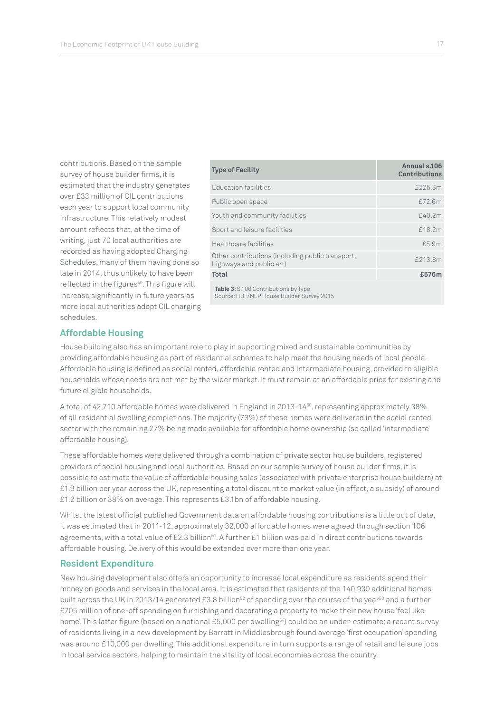contributions. Based on the sample survey of house builder firms, it is estimated that the industry generates over £33 million of CIL contributions each year to support local community infrastructure. This relatively modest amount reflects that, at the time of writing, just 70 local authorities are recorded as having adopted Charging Schedules, many of them having done so late in 2014, thus unlikely to have been reflected in the figures<sup>49</sup>. This figure will increase significantly in future years as more local authorities adopt CIL charging schedules.

| <b>Type of Facility</b>                                                           | Annual s.106<br><b>Contributions</b> |
|-----------------------------------------------------------------------------------|--------------------------------------|
| <b>Education facilities</b>                                                       | £225.3m                              |
| Public open space                                                                 | £72.6m                               |
| Youth and community facilities                                                    | £40.2m                               |
| Sport and leisure facilities                                                      | £18.2m                               |
| Healthcare facilities                                                             | £5.9m                                |
| Other contributions (including public transport,<br>highways and public art)      | £213.8m                              |
| <b>Total</b>                                                                      | £576m                                |
| Table 3: S.106 Contributions by Type<br>Source: HBF/NLP House Builder Survey 2015 |                                      |

**Affordable Housing**

House building also has an important role to play in supporting mixed and sustainable communities by providing affordable housing as part of residential schemes to help meet the housing needs of local people. Affordable housing is defined as social rented, affordable rented and intermediate housing, provided to eligible households whose needs are not met by the wider market. It must remain at an affordable price for existing and future eligible households.

A total of 42,710 affordable homes were delivered in England in 2013-1450, representing approximately 38% of all residential dwelling completions. The majority (73%) of these homes were delivered in the social rented sector with the remaining 27% being made available for affordable home ownership (so called 'intermediate' affordable housing).

These affordable homes were delivered through a combination of private sector house builders, registered providers of social housing and local authorities. Based on our sample survey of house builder firms, it is possible to estimate the value of affordable housing sales (associated with private enterprise house builders) at £1.9 billion per year across the UK, representing a total discount to market value (in effect, a subsidy) of around £1.2 billion or 38% on average. This represents £3.1bn of affordable housing.

Whilst the latest official published Government data on affordable housing contributions is a little out of date, it was estimated that in 2011-12, approximately 32,000 affordable homes were agreed through section 106 agreements, with a total value of £2.3 billion<sup>51</sup>. A further £1 billion was paid in direct contributions towards affordable housing. Delivery of this would be extended over more than one year.

#### **Resident Expenditure**

New housing development also offers an opportunity to increase local expenditure as residents spend their money on goods and services in the local area. It is estimated that residents of the 140,930 additional homes built across the UK in 2013/14 generated £3.8 billion<sup>52</sup> of spending over the course of the year<sup>53</sup> and a further £705 million of one-off spending on furnishing and decorating a property to make their new house 'feel like home'. This latter figure (based on a notional £5,000 per dwelling<sup>54</sup>) could be an under-estimate: a recent survey of residents living in a new development by Barratt in Middlesbrough found average 'first occupation' spending was around £10,000 per dwelling. This additional expenditure in turn supports a range of retail and leisure jobs in local service sectors, helping to maintain the vitality of local economies across the country.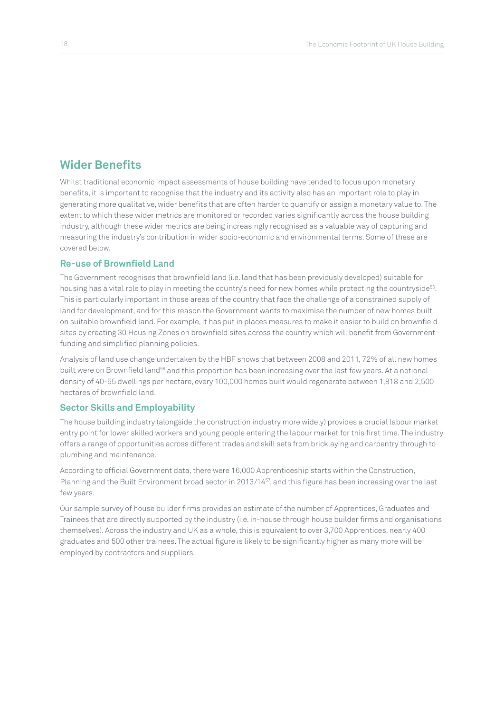## **Wider Benefits**

Whilst traditional economic impact assessments of house building have tended to focus upon monetary benefits, it is important to recognise that the industry and its activity also has an important role to play in generating more qualitative, wider benefits that are often harder to quantify or assign a monetary value to. The extent to which these wider metrics are monitored or recorded varies significantly across the house building industry, although these wider metrics are being increasingly recognised as a valuable way of capturing and measuring the industry's contribution in wider socio-economic and environmental terms. Some of these are covered below.

#### **Re-use of Brownfield Land**

The Government recognises that brownfield land (i.e. land that has been previously developed) suitable for housing has a vital role to play in meeting the country's need for new homes while protecting the countryside<sup>55</sup>. This is particularly important in those areas of the country that face the challenge of a constrained supply of land for development, and for this reason the Government wants to maximise the number of new homes built on suitable brownfield land. For example, it has put in places measures to make it easier to build on brownfield sites by creating 30 Housing Zones on brownfield sites across the country which will benefit from Government funding and simplified planning policies.

Analysis of land use change undertaken by the HBF shows that between 2008 and 2011, 72% of all new homes built were on Brownfield land<sup>56</sup> and this proportion has been increasing over the last few years. At a notional density of 40-55 dwellings per hectare, every 100,000 homes built would regenerate between 1,818 and 2,500 hectares of brownfield land.

#### **Sector Skills and Employability**

The house building industry (alongside the construction industry more widely) provides a crucial labour market entry point for lower skilled workers and young people entering the labour market for this first time. The industry offers a range of opportunities across different trades and skill sets from bricklaying and carpentry through to plumbing and maintenance.

According to official Government data, there were 16,000 Apprenticeship starts within the Construction, Planning and the Built Environment broad sector in 2013/1457, and this figure has been increasing over the last few years.

Our sample survey of house builder firms provides an estimate of the number of Apprentices, Graduates and Trainees that are directly supported by the industry (i.e. in-house through house builder firms and organisations themselves). Across the industry and UK as a whole, this is equivalent to over 3,700 Apprentices, nearly 400 graduates and 500 other trainees. The actual figure is likely to be significantly higher as many more will be employed by contractors and suppliers.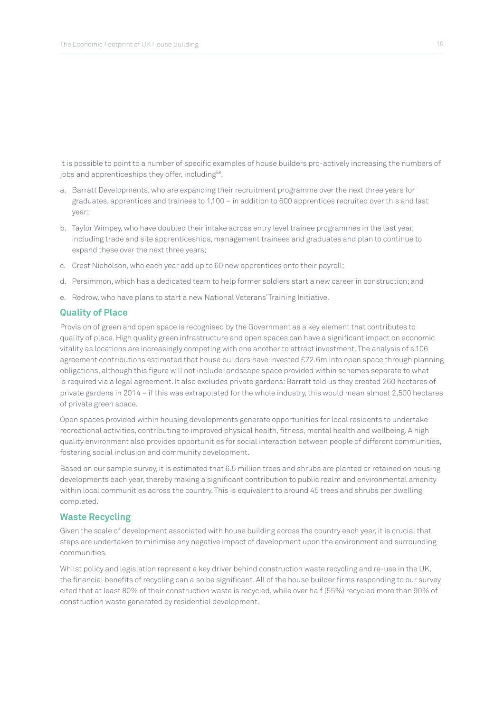It is possible to point to a number of specific examples of house builders pro-actively increasing the numbers of jobs and apprenticeships they offer, including<sup>58</sup>.

- a. Barratt Developments, who are expanding their recruitment programme over the next three years for graduates, apprentices and trainees to 1,100 – in addition to 600 apprentices recruited over this and last year;
- b. Taylor Wimpey, who have doubled their intake across entry level trainee programmes in the last year, including trade and site apprenticeships, management trainees and graduates and plan to continue to expand these over the next three years;
- c. Crest Nicholson, who each year add up to 60 new apprentices onto their payroll;
- d. Persimmon, which has a dedicated team to help former soldiers start a new career in construction; and
- e. Redrow, who have plans to start a new National Veterans' Training Initiative.

#### **Quality of Place**

Provision of green and open space is recognised by the Government as a key element that contributes to quality of place. High quality green infrastructure and open spaces can have a significant impact on economic vitality as locations are increasingly competing with one another to attract investment. The analysis of s.106 agreement contributions estimated that house builders have invested £72.6m into open space through planning obligations, although this figure will not include landscape space provided within schemes separate to what is required via a legal agreement. It also excludes private gardens: Barratt told us they created 260 hectares of private gardens in 2014 – if this was extrapolated for the whole industry, this would mean almost 2,500 hectares of private green space.

Open spaces provided within housing developments generate opportunities for local residents to undertake recreational activities, contributing to improved physical health, fitness, mental health and wellbeing. A high quality environment also provides opportunities for social interaction between people of different communities, fostering social inclusion and community development.

Based on our sample survey, it is estimated that 6.5 million trees and shrubs are planted or retained on housing developments each year, thereby making a significant contribution to public realm and environmental amenity within local communities across the country. This is equivalent to around 45 trees and shrubs per dwelling completed.

#### **Waste Recycling**

Given the scale of development associated with house building across the country each year, it is crucial that steps are undertaken to minimise any negative impact of development upon the environment and surrounding communities.

Whilst policy and legislation represent a key driver behind construction waste recycling and re-use in the UK, the financial benefits of recycling can also be significant. All of the house builder firms responding to our survey cited that at least 80% of their construction waste is recycled, while over half (55%) recycled more than 90% of construction waste generated by residential development.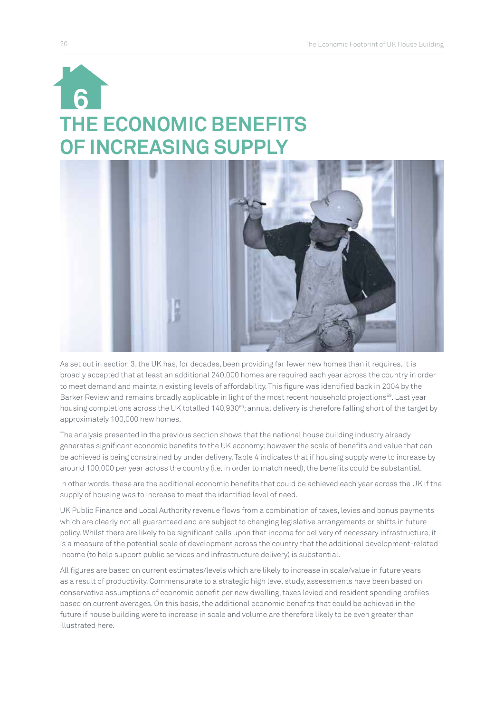## **THE ECONOMIC BENEFITS OF INCREASING SUPPLY 6**



As set out in section 3, the UK has, for decades, been providing far fewer new homes than it requires. It is broadly accepted that at least an additional 240,000 homes are required each year across the country in order to meet demand and maintain existing levels of affordability. This figure was identified back in 2004 by the Barker Review and remains broadly applicable in light of the most recent household projections<sup>59</sup>. Last year housing completions across the UK totalled 140,930<sup>60</sup>; annual delivery is therefore falling short of the target by approximately 100,000 new homes.

The analysis presented in the previous section shows that the national house building industry already generates significant economic benefits to the UK economy; however the scale of benefits and value that can be achieved is being constrained by under delivery. Table 4 indicates that if housing supply were to increase by around 100,000 per year across the country (i.e. in order to match need), the benefits could be substantial.

In other words, these are the additional economic benefits that could be achieved each year across the UK if the supply of housing was to increase to meet the identified level of need.

UK Public Finance and Local Authority revenue flows from a combination of taxes, levies and bonus payments which are clearly not all guaranteed and are subject to changing legislative arrangements or shifts in future policy. Whilst there are likely to be significant calls upon that income for delivery of necessary infrastructure, it is a measure of the potential scale of development across the country that the additional development-related income (to help support public services and infrastructure delivery) is substantial.

All figures are based on current estimates/levels which are likely to increase in scale/value in future years as a result of productivity. Commensurate to a strategic high level study, assessments have been based on conservative assumptions of economic benefit per new dwelling, taxes levied and resident spending profiles based on current averages. On this basis, the additional economic benefits that could be achieved in the future if house building were to increase in scale and volume are therefore likely to be even greater than illustrated here.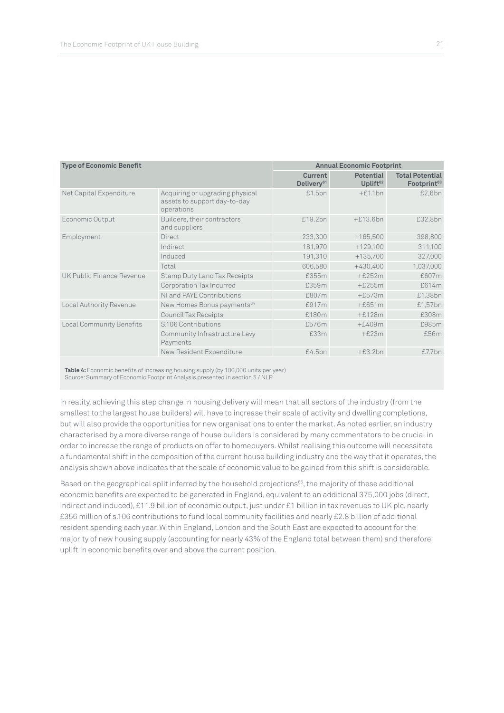| <b>Type of Economic Benefit</b> | <b>Annual Economic Footprint</b>                                              |                                          |                                                   |           |
|---------------------------------|-------------------------------------------------------------------------------|------------------------------------------|---------------------------------------------------|-----------|
|                                 | <b>Current</b><br>Delivery <sup>61</sup>                                      | <b>Potential</b><br>Uplift <sup>62</sup> | <b>Total Potential</b><br>Footprint <sup>63</sup> |           |
| Net Capital Expenditure         | Acquiring or upgrading physical<br>assets to support day-to-day<br>operations | £1.5bn                                   | $+£1.1bn$                                         | £2,6bn    |
| Economic Output                 | Builders, their contractors<br>and suppliers                                  | £19.2bn                                  | $+£13.6bn$                                        | £32,8bn   |
| Employment                      | Direct                                                                        | 233,300                                  | $+165,500$                                        | 398,800   |
|                                 | Indirect                                                                      | 181,970                                  | $+129,100$                                        | 311,100   |
|                                 | Induced                                                                       | 191,310                                  | $+135,700$                                        | 327,000   |
|                                 | Total                                                                         | 606,580                                  | $+430,400$                                        | 1,037,000 |
| UK Public Finance Revenue       | <b>Stamp Duty Land Tax Receipts</b>                                           | £355m                                    | $+£252m$                                          | £607m     |
|                                 | Corporation Tax Incurred                                                      | £359m                                    | $+£255m$                                          | £614m     |
|                                 | NI and PAYE Contributions                                                     | £807m                                    | $+£573m$                                          | £1.38bn   |
| Local Authority Revenue         | New Homes Bonus payments <sup>64</sup>                                        | £917m                                    | $+£651m$                                          | £1,57bn   |
|                                 | <b>Council Tax Receipts</b>                                                   | £180m                                    | $+£128m$                                          | £308m     |
| <b>Local Community Benefits</b> | S.106 Contributions                                                           | £576m                                    | $+£409m$                                          | £985m     |
|                                 | Community Infrastructure Levy<br>Payments                                     | £33m                                     | $+£23m$                                           | £56m      |
|                                 | New Resident Expenditure                                                      | £4.5bn                                   | $+£3.2bn$                                         | £7.7bn    |

**Table 4:** Economic benefits of increasing housing supply (by 100,000 units per year) Source: Summary of Economic Footprint Analysis presented in section 5 / NLP

In reality, achieving this step change in housing delivery will mean that all sectors of the industry (from the smallest to the largest house builders) will have to increase their scale of activity and dwelling completions, but will also provide the opportunities for new organisations to enter the market. As noted earlier, an industry characterised by a more diverse range of house builders is considered by many commentators to be crucial in order to increase the range of products on offer to homebuyers. Whilst realising this outcome will necessitate a fundamental shift in the composition of the current house building industry and the way that it operates, the analysis shown above indicates that the scale of economic value to be gained from this shift is considerable.

Based on the geographical split inferred by the household projections<sup>65</sup>, the majority of these additional economic benefits are expected to be generated in England, equivalent to an additional 375,000 jobs (direct, indirect and induced), £11.9 billion of economic output, just under £1 billion in tax revenues to UK plc, nearly £356 million of s.106 contributions to fund local community facilities and nearly £2.8 billion of additional resident spending each year. Within England, London and the South East are expected to account for the majority of new housing supply (accounting for nearly 43% of the England total between them) and therefore uplift in economic benefits over and above the current position.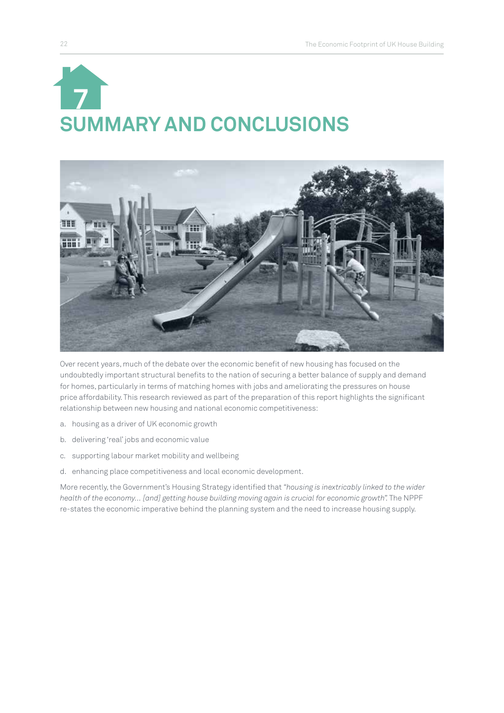# **SUMMARY AND CONCLUSIONS 7**



Over recent years, much of the debate over the economic benefit of new housing has focused on the undoubtedly important structural benefits to the nation of securing a better balance of supply and demand for homes, particularly in terms of matching homes with jobs and ameliorating the pressures on house price affordability. This research reviewed as part of the preparation of this report highlights the significant relationship between new housing and national economic competitiveness:

- a. housing as a driver of UK economic growth
- b. delivering 'real' jobs and economic value
- c. supporting labour market mobility and wellbeing
- d. enhancing place competitiveness and local economic development.

More recently, the Government's Housing Strategy identified that *"housing is inextricably linked to the wider*  health of the economy... [and] getting house building moving again is crucial for economic growth". The NPPF re-states the economic imperative behind the planning system and the need to increase housing supply.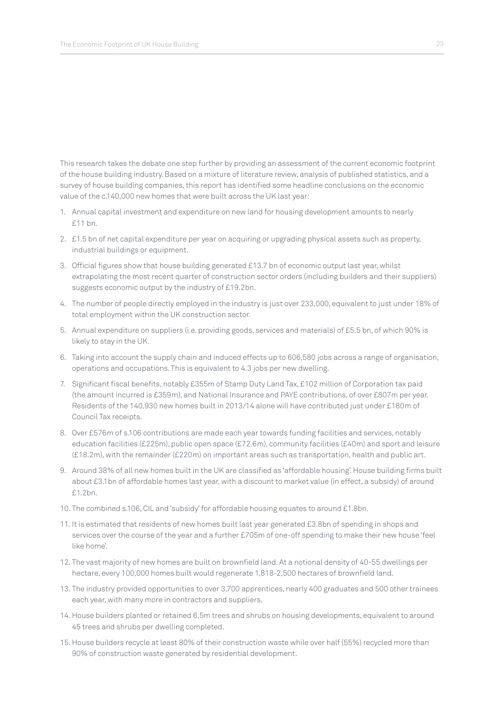This research takes the debate one step further by providing an assessment of the current economic footprint of the house building industry. Based on a mixture of literature review, analysis of published statistics, and a survey of house building companies, this report has identified some headline conclusions on the economic value of the c.140,000 new homes that were built across the UK last year:

- 1. Annual capital investment and expenditure on new land for housing development amounts to nearly £11 bn.
- 2. £1.5 bn of net capital expenditure per year on acquiring or upgrading physical assets such as property, industrial buildings or equipment.
- 3. Official figures show that house building generated £13.7 bn of economic output last year, whilst extrapolating the most recent quarter of construction sector orders (including builders and their suppliers) suggests economic output by the industry of £19.2bn.
- 4. The number of people directly employed in the industry is just over 233,000, equivalent to just under 18% of total employment within the UK construction sector.
- 5. Annual expenditure on suppliers (i.e. providing goods, services and materials) of £5.5 bn, of which 90% is likely to stay in the UK.
- 6. Taking into account the supply chain and induced effects up to 606,580 jobs across a range of organisation, operations and occupations. This is equivalent to 4.3 jobs per new dwelling.
- 7. Significant fiscal benefits, notably £355m of Stamp Duty Land Tax, £102 million of Corporation tax paid (the amount incurred is £359m), and National Insurance and PAYE contributions, of over £807m per year. Residents of the 140,930 new homes built in 2013/14 alone will have contributed just under £180m of Council Tax receipts.
- 8. Over £576m of s.106 contributions are made each year towards funding facilities and services, notably education facilities (£225m), public open space (£72.6m), community facilities (£40m) and sport and leisure (£18.2m), with the remainder (£220m) on important areas such as transportation, health and public art.
- 9. Around 38% of all new homes built in the UK are classified as 'affordable housing'. House building firms built about £3.1bn of affordable homes last year, with a discount to market value (in effect, a subsidy) of around £1.2bn.
- 10. The combined s.106, CIL and 'subsidy' for affordable housing equates to around £1.8bn.
- 11. It is estimated that residents of new homes built last year generated £3.8bn of spending in shops and services over the course of the year and a further £705m of one-off spending to make their new house 'feel like home'.
- 12. The vast majority of new homes are built on brownfield land. At a notional density of 40-55 dwellings per hectare, every 100,000 homes built would regenerate 1,818-2,500 hectares of brownfield land.
- 13. The industry provided opportunities to over 3,700 apprentices, nearly 400 graduates and 500 other trainees each year, with many more in contractors and suppliers.
- 14. House builders planted or retained 6.5m trees and shrubs on housing developments, equivalent to around 45 trees and shrubs per dwelling completed.
- 15. House builders recycle at least 80% of their construction waste while over half (55%) recycled more than 90% of construction waste generated by residential development.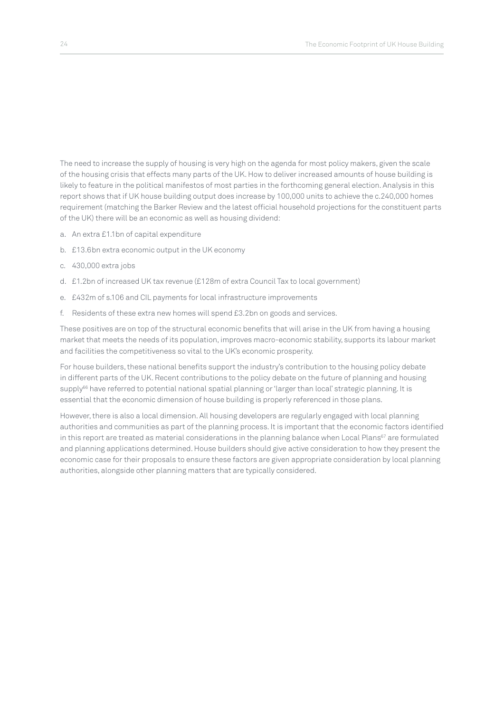The need to increase the supply of housing is very high on the agenda for most policy makers, given the scale of the housing crisis that effects many parts of the UK. How to deliver increased amounts of house building is likely to feature in the political manifestos of most parties in the forthcoming general election. Analysis in this report shows that if UK house building output does increase by 100,000 units to achieve the c.240,000 homes requirement (matching the Barker Review and the latest official household projections for the constituent parts of the UK) there will be an economic as well as housing dividend:

- a. An extra £1.1bn of capital expenditure
- b. £13.6bn extra economic output in the UK economy
- c. 430,000 extra jobs
- d. £1.2bn of increased UK tax revenue (£128m of extra Council Tax to local government)
- e. £432m of s.106 and CIL payments for local infrastructure improvements
- f. Residents of these extra new homes will spend £3.2bn on goods and services.

These positives are on top of the structural economic benefits that will arise in the UK from having a housing market that meets the needs of its population, improves macro-economic stability, supports its labour market and facilities the competitiveness so vital to the UK's economic prosperity.

For house builders, these national benefits support the industry's contribution to the housing policy debate in different parts of the UK. Recent contributions to the policy debate on the future of planning and housing supply<sup>66</sup> have referred to potential national spatial planning or 'larger than local' strategic planning. It is essential that the economic dimension of house building is properly referenced in those plans.

However, there is also a local dimension. All housing developers are regularly engaged with local planning authorities and communities as part of the planning process. It is important that the economic factors identified in this report are treated as material considerations in the planning balance when Local Plans<sup>67</sup> are formulated and planning applications determined. House builders should give active consideration to how they present the economic case for their proposals to ensure these factors are given appropriate consideration by local planning authorities, alongside other planning matters that are typically considered.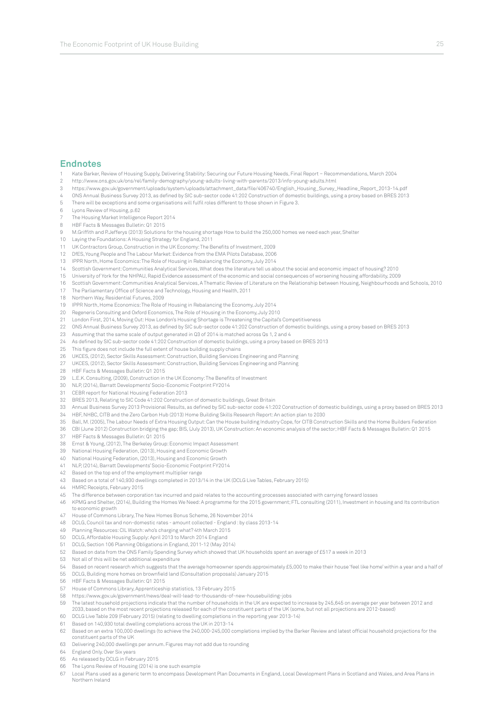#### **Endnotes**

- 1 Kate Barker, Review of Housing Supply, Delivering Stability: Securing our Future Housing Needs, Final Report Recommendations, March 2004
- 2 http://www.ons.gov.uk/ons/rel/family-demography/young-adults-living-with-parents/2013/info-young-adults.html
- 3 https://www.gov.uk/government/uploads/system/uploads/attachment\_data/file/406740/English\_Housing\_Survey\_Headline\_Report\_2013-14.pdf
- 4 ONS Annual Business Survey 2013, as defined by SIC sub-sector code 41:202 Construction of domestic buildings, using a proxy based on BRES 2013
- 5 There will be exceptions and some organisations will fulfil roles different to those shown in Figure 3.
- 6 Lyons Review of Housing, p.62
- 7 The Housing Market Intelligence Report 2014
- 8 HBF Facts & Messages Bulletin: Q1 2015
- 9 M.Griffith and P.Jefferys (2013) Solutions for the housing shortage How to build the 250,000 homes we need each year, Shelter
- 10 Laying the Foundations: A Housing Strategy for England, 2011
- 11 UK Contractors Group, Construction in the UK Economy: The Benefits of Investment, 2009
- 12 DfES, Young People and The Labour Market: Evidence from the EMA Pilots Database, 2006
- 13 IPPR North, Home Economics: The Role of Housing in Rebalancing the Economy, July 2014
- 14 Scottish Government: Communities Analytical Services, What does the literature tell us about the social and economic impact of housing? 2010
- 15 University of York for the NHPAU, Rapid Evidence assessment of the economic and social consequences of worsening housing affordability, 2009
- 16 Scottish Government: Communities Analytical Services, A Thematic Review of Literature on the Relationship between Housing, Neighbourhoods and Schools, 2010
- 17 The Parliamentary Office of Science and Technology, Housing and Health, 2011
- 18 Northern Way, Residential Futures, 2009
- 19 IPPR North, Home Economics: The Role of Housing in Rebalancing the Economy, July 2014
- 20 Regeneris Consulting and Oxford Economics, The Role of Housing in the Economy, July 2010
- 21 London First, 2014, Moving Out: How London's Housing Shortage is Threatening the Capital's Competitiveness
- 22 ONS Annual Business Survey 2013, as defined by SIC sub-sector code 41:202 Construction of domestic buildings, using a proxy based on BRES 2013
- 23 Assuming that the same scale of output generated in Q3 of 2014 is matched across Qs 1, 2 and 4
- 24 As defined by SIC sub-sector code 41:202 Construction of domestic buildings, using a proxy based on BRES 2013
- 25 This figure does not include the full extent of house building supply chains
- 26 UKCES, (2012), Sector Skills Assessment: Construction, Building Services Engineering and Planning
- 27 UKCES, (2012), Sector Skills Assessment: Construction, Building Services Engineering and Planning
- 28 HBF Facts & Messages Bulletin: Q1 2015
- 29 L.E.K. Consulting, (2009), Construction in the UK Economy: The Benefits of Investment
- 30 NLP, (2014), Barratt Developments' Socio-Economic Footprint FY2014
- 31 CEBR report for National Housing Federation 2013
- 32 BRES 2013, Relating to SIC Code 41:202 Construction of domestic buildings, Great Britain
- 33 Annual Business Survey 2013 Provisional Results, as defined by SIC sub-sector code 41:202 Construction of domestic buildings, using a proxy based on BRES 2013
- 34 HBF, NHBC, CITB and the Zero Carbon Hub (2013) Home Building Skills Research Report: An action plan to 2030
- 35 Ball, M. (2005), The Labour Needs of Extra Housing Output: Can the House building Industry Cope, for CITB Construction Skills and the Home Builders Federation
- 36 CBI (June 2012) Construction bridging the gap; BIS, (July 2013), UK Construction: An economic analysis of the sector; HBF Facts & Messages Bulletin: Q1 2015
- 37 HBF Facts & Messages Bulletin: Q1 2015
- 38 Ernst & Young, (2012), The Berkeley Group: Economic Impact Assessment
- 39 National Housing Federation, (2013), Housing and Economic Growth
- 40 National Housing Federation, (2013), Housing and Economic Growth
- 41 NLP, (2014), Barratt Developments' Socio-Economic Footprint FY2014
- 42 Based on the top end of the employment multiplier range
- 43 Based on a total of 140,930 dwellings completed in 2013/14 in the UK (DCLG Live Tables, February 2015)
- 44 HMRC Receipts, February 2015
- 45 The difference between corporation tax incurred and paid relates to the accounting processes associated with carrying forward losses
- 46 KPMG and Shelter, (2014), Building the Homes We Need: A programme for the 2015 government; FTL consulting (2011), Investment in housing and Its contribution to economic growth
- 47 House of Commons Library, The New Homes Bonus Scheme, 26 November 2014
- 48 DCLG, Council tax and non-domestic rates amount collected England : by class 2013-14
- 49 Planning Resources: CIL Watch: who's charging what? 4th March 2015
- 50 DCLG, Affordable Housing Supply: April 2013 to March 2014 England
- 51 DCLG, Section 106 Planning Obligations in England, 2011-12 (May 2014)
- 52 Based on data from the ONS Family Spending Survey which showed that UK households spent an average of £517 a week in 2013
- 53 Not all of this will be net additional expenditure
- 54 Based on recent research which suggests that the average homeowner spends approximately £5,000 to make their house 'feel like home' within a year and a half of
- 55 DCLG, Building more homes on brownfield land (Consultation proposals) January 2015
- 56 HBF Facts & Messages Bulletin: Q1 2015
- 57 House of Commons Library, Apprenticeship statistics, 13 February 2015
- 58 https://www.gov.uk/government/news/deal-will-lead-to-thousands-of-new-housebuilding-jobs
- The latest household projections indicate that the number of households in the UK are expected to increase by 245,645 on average per year between 2012 and<br>2033, based on the most recent projections released for each of the
- 60 DCLG Live Table 209 (February 2015) (relating to dwelling completions in the reporting year 2013-14)
- 61 Based on 140,930 total dwelling completions across the UK in 2013-14
- 62 Based on an extra 100,000 dwellings (to achieve the 240,000-245,000 completions implied by the Barker Review and latest official household projections for the
- constituent parts of the UK
- 63 Delivering 240,000 dwellings per annum. Figures may not add due to rounding
- 64 England Only. Over Six years
- 65 As released by DCLG in February 2015
- 66 The Lyons Review of Housing (2014) is one such example
- 67 Local Plans used as a generic term to encompass Development Plan Documents in England, Local Development Plans in Scotland and Wales, and Area Plans in Northern Ireland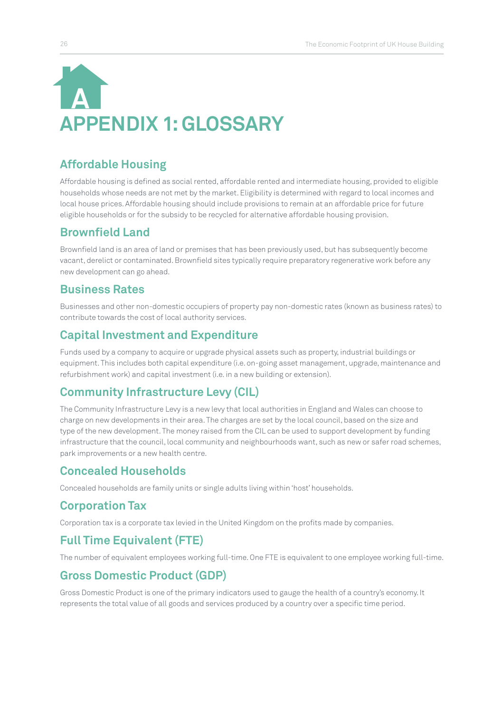## **APPENDIX 1: GLOSSARY A**

## **Affordable Housing**

Affordable housing is defined as social rented, affordable rented and intermediate housing, provided to eligible households whose needs are not met by the market. Eligibility is determined with regard to local incomes and local house prices. Affordable housing should include provisions to remain at an affordable price for future eligible households or for the subsidy to be recycled for alternative affordable housing provision.

## **Brownfield Land**

Brownfield land is an area of land or premises that has been previously used, but has subsequently become vacant, derelict or contaminated. Brownfield sites typically require preparatory regenerative work before any new development can go ahead.

## **Business Rates**

Businesses and other non-domestic occupiers of property pay non-domestic rates (known as business rates) to contribute towards the cost of local authority services.

## **Capital Investment and Expenditure**

Funds used by a company to acquire or upgrade physical assets such as property, industrial buildings or equipment. This includes both capital expenditure (i.e. on-going asset management, upgrade, maintenance and refurbishment work) and capital investment (i.e. in a new building or extension).

## **Community Infrastructure Levy (CIL)**

The Community Infrastructure Levy is a new levy that local authorities in England and Wales can choose to charge on new developments in their area. The charges are set by the local council, based on the size and type of the new development. The money raised from the CIL can be used to support development by funding infrastructure that the council, local community and neighbourhoods want, such as new or safer road schemes, park improvements or a new health centre.

## **Concealed Households**

Concealed households are family units or single adults living within 'host' households.

## **Corporation Tax**

Corporation tax is a corporate tax levied in the United Kingdom on the profits made by companies.

## **Full Time Equivalent (FTE)**

The number of equivalent employees working full-time. One FTE is equivalent to one employee working full-time.

## **Gross Domestic Product (GDP)**

Gross Domestic Product is one of the primary indicators used to gauge the health of a country's economy. It represents the total value of all goods and services produced by a country over a specific time period.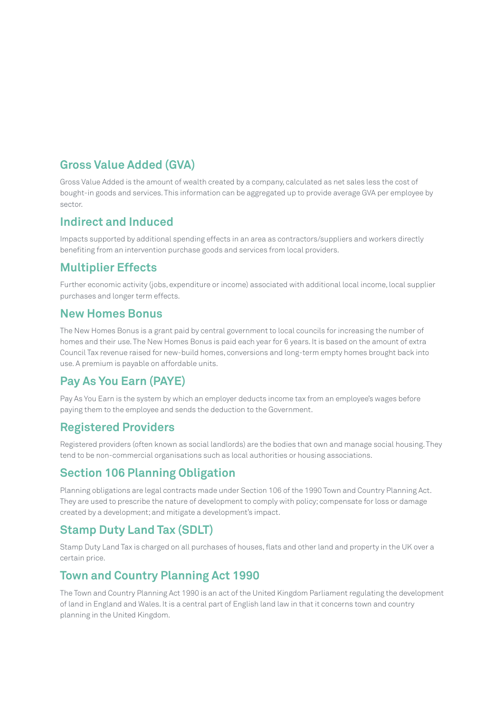## **Gross Value Added (GVA)**

Gross Value Added is the amount of wealth created by a company, calculated as net sales less the cost of bought-in goods and services. This information can be aggregated up to provide average GVA per employee by sector.

## **Indirect and Induced**

Impacts supported by additional spending effects in an area as contractors/suppliers and workers directly benefiting from an intervention purchase goods and services from local providers.

## **Multiplier Effects**

Further economic activity (jobs, expenditure or income) associated with additional local income, local supplier purchases and longer term effects.

## **New Homes Bonus**

The New Homes Bonus is a grant paid by central government to local councils for increasing the number of homes and their use. The New Homes Bonus is paid each year for 6 years. It is based on the amount of extra Council Tax revenue raised for new-build homes, conversions and long-term empty homes brought back into use. A premium is payable on affordable units.

## **Pay As You Earn (PAYE)**

Pay As You Earn is the system by which an employer deducts income tax from an employee's wages before paying them to the employee and sends the deduction to the Government.

## **Registered Providers**

Registered providers (often known as social landlords) are the bodies that own and manage social housing. They tend to be non-commercial organisations such as local authorities or housing associations.

## **Section 106 Planning Obligation**

Planning obligations are legal contracts made under Section 106 of the 1990 Town and Country Planning Act. They are used to prescribe the nature of development to comply with policy; compensate for loss or damage created by a development; and mitigate a development's impact.

## **Stamp Duty Land Tax (SDLT)**

Stamp Duty Land Tax is charged on all purchases of houses, flats and other land and property in the UK over a certain price.

## **Town and Country Planning Act 1990**

The Town and Country Planning Act 1990 is an act of the United Kingdom Parliament regulating the development of land in England and Wales. It is a central part of English land law in that it concerns town and country planning in the United Kingdom.